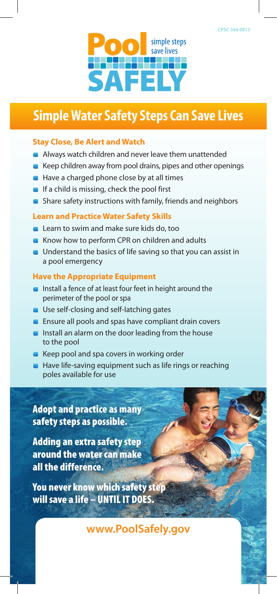

# **Simple Water Safety Steps Can Save Lives**

### **Stay Close, Be Alert and Watch**

- **Always watch children and never leave them unattended**
- Keep children away from pool drains, pipes and other openings
- $\blacksquare$  Have a charged phone close by at all times
- $\blacksquare$  If a child is missing, check the pool first
- Share safety instructions with family, friends and neighbors

#### **Learn and Practice Water Safety Skills**

- **Learn to swim and make sure kids do, too**
- Know how to perform CPR on children and adults
- **Understand the basics of life saving so that you can assist in** a pool emergency

#### **Have the Appropriate Equipment**

- Install a fence of at least four feet in height around the perimeter of the pool or spa
- **Use self-closing and self-latching gates**
- **Ensure all pools and spas have compliant drain covers**
- **Install an alarm on the door leading from the house** to the pool
- $\blacksquare$  Keep pool and spa covers in working order
- Have life-saving equipment such as life rings or reaching poles available for use

## Adopt and practice as many safety steps as possible.

Adding an extra safety step around the water can make all the difference.

You never know which safety step will save a life – UNTIL IT DOES.

**www.PoolSafely.gov**